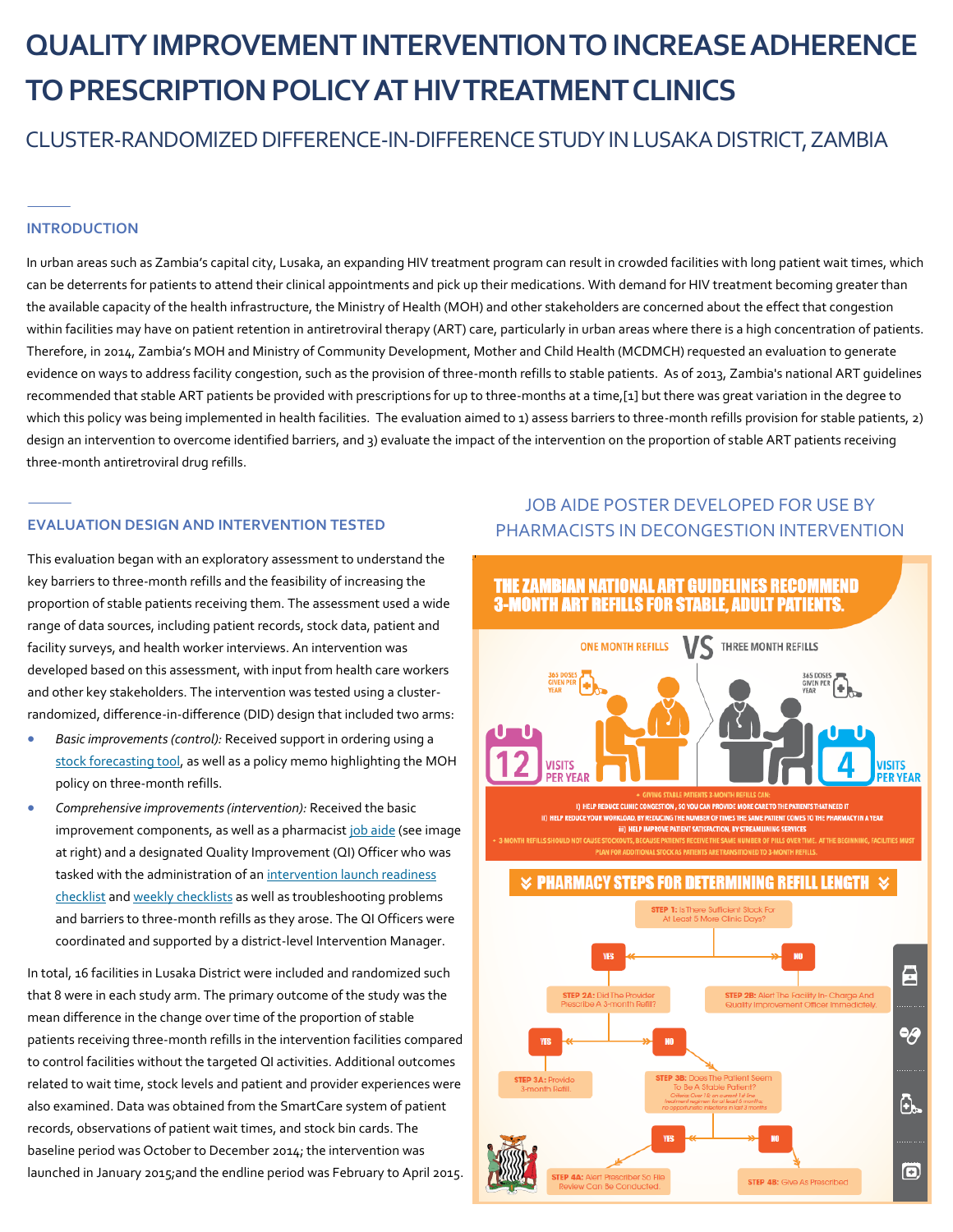# **QUALITY IMPROVEMENT INTERVENTION TO INCREASE ADHERENCE TO PRESCRIPTION POLICY AT HIV TREATMENT CLINICS**

CLUSTER-RANDOMIZED DIFFERENCE-IN-DIFFERENCE STUDYIN LUSAKA DISTRICT, ZAMBIA

#### **INTRODUCTION**

In urban areas such as Zambia's capital city, Lusaka, an expanding HIV treatment program can result in crowded facilities with long patient wait times, which can be deterrents for patients to attend their clinical appointments and pick up their medications. With demand for HIV treatment becoming greater than the available capacity of the health infrastructure, the Ministry of Health (MOH) and other stakeholders are concerned about the effect that congestion within facilities may have on patient retention in antiretroviral therapy (ART) care, particularly in urban areas where there is a high concentration of patients. Therefore, in 2014, Zambia's MOH and Ministry of Community Development, Mother and Child Health (MCDMCH) requested an evaluation to generate evidence on ways to address facility congestion, such as the provision of three-month refills to stable patients. As of 2013, Zambia's national ART guidelines recommended that stable ART patients be provided with prescriptions for up to three-months at a time,[1] but there was great variation in the degree to which this policy was being implemented in health facilities. The evaluation aimed to 1) assess barriers to three-month refills provision for stable patients, 2) design an intervention to overcome identified barriers, and 3) evaluate the impact of the intervention on the proportion of stable ART patients receiving three-month antiretroviral drug refills.

This evaluation began with an exploratory assessment to understand the key barriers to three-month refills and the feasibility of increasing the proportion of stable patients receiving them. The assessment used a wide range of data sources, including patient records, stock data, patient and facility surveys, and health worker interviews. An intervention was developed based on this assessment, with input from health care workers and other key stakeholders. The intervention was tested using a clusterrandomized, difference-in-difference (DID) design that included two arms:

- *Basic improvements (control):* Received support in ordering using a [stock forecasting tool,](http://journals.plos.org/plosone/article/file?type=supplementary&id=info:doi/10.1371/journal.pone.0175534.s003) as well as a policy memo highlighting the MOH policy on three-month refills.
- *Comprehensive improvements (intervention):* Received the basic improvement components, as well as a pharmacist [job aide](http://journals.plos.org/plosone/article/file?type=supplementary&id=info:doi/10.1371/journal.pone.0175534.s001) (see image at right) and a designated Quality Improvement (QI) Officer who was tasked with the administration of an intervention launch readiness [checklist](http://journals.plos.org/plosone/article/file?type=supplementary&id=info:doi/10.1371/journal.pone.0175534.s004) and [weekly checklists](http://journals.plos.org/plosone/article/file?type=supplementary&id=info:doi/10.1371/journal.pone.0175534.s005) as well as troubleshooting problems and barriers to three-month refills as they arose. The QI Officers were coordinated and supported by a district-level Intervention Manager.

In total, 16 facilities in Lusaka District were included and randomized such that 8 were in each study arm. The primary outcome of the study was the mean difference in the change over time of the proportion of stable patients receiving three-month refills in the intervention facilities compared to control facilities without the targeted QI activities. Additional outcomes related to wait time, stock levels and patient and provider experiences were also examined. Data was obtained from the SmartCare system of patient records, observations of patient wait times, and stock bin cards. The baseline period was October to December 2014; the intervention was launched in January 2015;and the endline period was February to April 2015.

## JOB AIDE POSTER DEVELOPED FOR USE BY PHARMACISTS IN DECONGESTION INTERVENTION **EVALUATION DESIGN AND INTERVENTION TESTED**